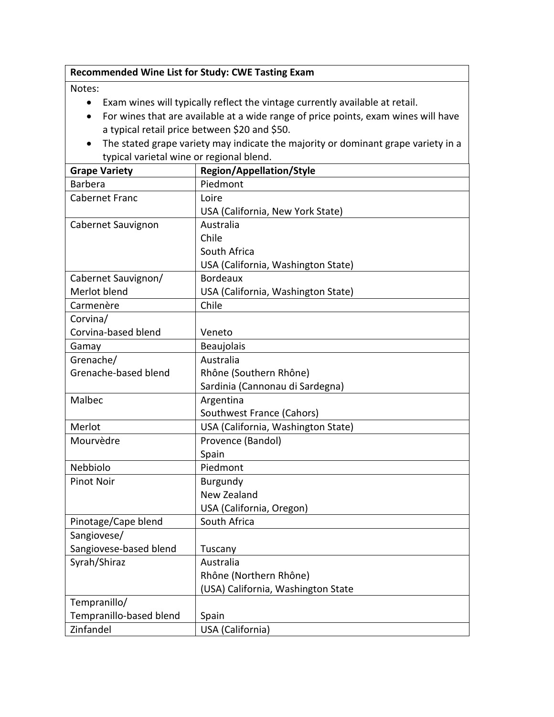## **Recommended Wine List for Study: CWE Tasting Exam**

## Notes:

- Exam wines will typically reflect the vintage currently available at retail.
- For wines that are available at a wide range of price points, exam wines will have a typical retail price between \$20 and \$50.
- The stated grape variety may indicate the majority or dominant grape variety in a typical varietal wine or regional blend.

| <b>Grape Variety</b>    | <b>Region/Appellation/Style</b>    |
|-------------------------|------------------------------------|
| <b>Barbera</b>          | Piedmont                           |
| <b>Cabernet Franc</b>   | Loire                              |
|                         | USA (California, New York State)   |
| Cabernet Sauvignon      | Australia                          |
|                         | Chile                              |
|                         | South Africa                       |
|                         | USA (California, Washington State) |
| Cabernet Sauvignon/     | <b>Bordeaux</b>                    |
| Merlot blend            | USA (California, Washington State) |
| Carmenère               | Chile                              |
| Corvina/                |                                    |
| Corvina-based blend     | Veneto                             |
| Gamay                   | Beaujolais                         |
| Grenache/               | Australia                          |
| Grenache-based blend    | Rhône (Southern Rhône)             |
|                         | Sardinia (Cannonau di Sardegna)    |
| Malbec                  | Argentina                          |
|                         | Southwest France (Cahors)          |
| Merlot                  | USA (California, Washington State) |
| Mourvèdre               | Provence (Bandol)                  |
|                         | Spain                              |
| Nebbiolo                | Piedmont                           |
| <b>Pinot Noir</b>       | Burgundy                           |
|                         | New Zealand                        |
|                         | USA (California, Oregon)           |
| Pinotage/Cape blend     | South Africa                       |
| Sangiovese/             |                                    |
| Sangiovese-based blend  | Tuscany                            |
| Syrah/Shiraz            | Australia                          |
|                         | Rhône (Northern Rhône)             |
|                         | (USA) California, Washington State |
| Tempranillo/            |                                    |
| Tempranillo-based blend | Spain                              |
| Zinfandel               | USA (California)                   |